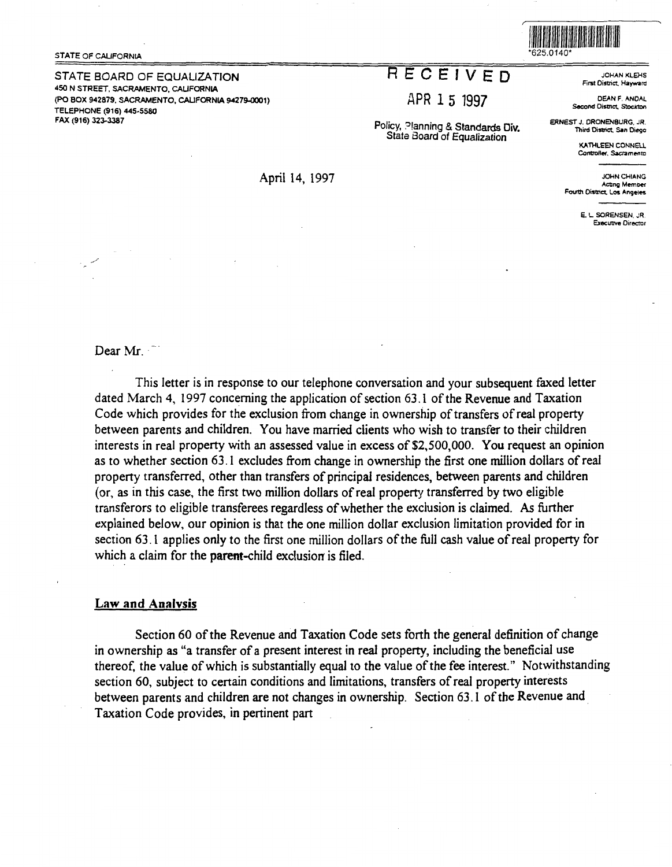## STATE OF CALIFORNIA



STATE BOARD OF EQUALIZATION 450 N STREET, SACRAMENTO, CALIFORNIA (PO BOX 942879, SACRAMENTO, CALIFORNIA **94279-0001)**  TELEPHONE (916) 445-5580 FAX (916) 323-3387

## RECEJVED

## APR 1 5 1997

Policy, Planning & Standards Div. State Board of Equalization

JOHAN KLEHS<br>First District, Hayward

DEAN F. ANOAL Second District. Stockton

ERNEST J. ORONENBURG, JR. Third District. **San** Diego

> KA™LEEN CONNELL Controller. Sacramento

JOHN CHIANG Acting Memoer Fourth District, Los Angeles

> E. L SORENSEN. JR **ExecUIIVe** Directer

Dear Mr.

This letter is in response to our telephone conversation and your subsequent faxed letter dated March 4, 1997 concerning the application of section 63.1 of the Revenue and Taxation Code which provides for the exclusion from change in ownership of transfers of real property between parents and children. You have married clients who wish to transfer to their children interests in real property with an assessed value in excess of \$2,500,000. You request an opinion as to whether section 63. 1 excludes from change in ownership the first one million dollars of real property transferred, other than transfers of principal residences, between parents and children ( or, as in this case, the first two million dollars of real property transferred by two eligible transferors to eligible transferees regardless ofwhether the exclusion is claimed. *As* further explained below, our opinion is that the one million dollar exclusion limitation provided for in section 63.1 applies only to the first one million dollars of the full cash value of real property for which a claim for the parent-child exclusion is filed.

April 14, 1997

## **Law and Analvsis**

Section 60 of the Revenue and Taxation Code sets forth the general definition of change in ownership as "a transfer of a present interest in real property, including the beneficial use thereof, the value of which is substantially equal to the value of the fee interest." Notwithstanding section 60, subject to certain conditions and limitations, transfers of real property interests between parents and children are not changes in ownership. Section 63.1 of the Revenue and Taxation Code provides, in pertinent part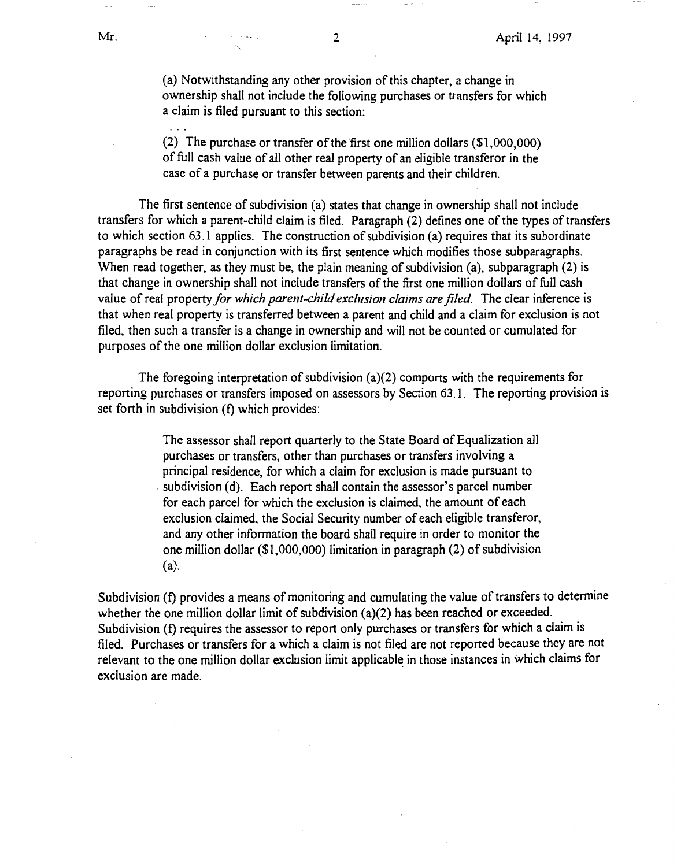(a) Notwithstanding any other provision ofthis chapter, a change in ownership shall not include the following purchases or transfers for which a claim is filed pursuant to this section:

(2) The purchase or transfer of the first one million dollars  $(\$1,000,000)$ of full cash value of all other real property of an eligible transferor in the case of a purchase or transfer between parents and their children.

The first sentence of subdivision (a) states that change in ownership shall not include transfers for which a parent-child claim is filed. Paragraph (2) defines one of the types of transfers to which section 63.1 applies. The construction of subdivision (a) requires that its subordinate paragraphs be read in conjunction with its first sentence which modifies those subparagraphs. When read together, as they must be, the plain meaning of subdivision (a), subparagraph (2) is that change in ownership shall not include transfers of the first one million dollars of full cash value of real property *for which parent-child exclusion claims are filed.* The clear inference is that when real property is transferred between a parent and child and a claim for exclusion is not filed, then such a transfer is a change in ownership and will not be counted or cumulated for purposes of the one million dollar exclusion limitation.

The foregoing interpretation of subdivision (a)(2) comports with the requirements for reporting purchases or transfers imposed on assessors by Section 63. I. The reporting provision is set forth in subdivision (f) which provides:

> The assessor shall report quarterly to the State Board of Equalization all purchases or transfers, other than purchases or transfers involving a principal residence, for which a claim for exclusion is made pursuant to subdivision (d). Each report shall contain the assessor's parcel number for each parcel for which the exclusion is claimed, the amount of each exclusion claimed, the Social Security number of each eligible transferor, and any other information the board shall require in order to monitor the one million dollar (\$1,000,000) limitation in paragraph (2) of subdivision (a).

Subdivision (f) provides a means of monitoring and cumulating the value of transfers to determine whether the one million dollar limit of subdivision (a)(2) has been reached or exceeded. Subdivision (f) requires the assessor to report only purchases or transfers for which a claim is filed. Purchases or transfers for a which a claim is not filed are not reported because they are not relevant to the one million dollar exclusion limit applicable in those instances in which claims for exclusion are made.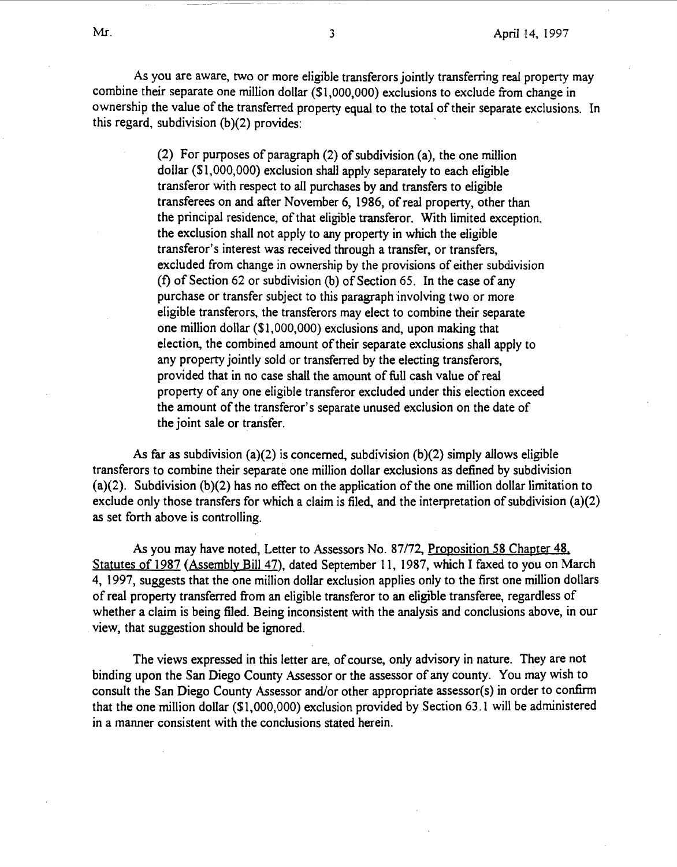As you are aware, two or more eligible transferors jointly transferring real property may combine their separate one million dollar (\$1,000,000) exclusions to exclude from change in ownership the value of the transferred property equal to the total of their separate exclusions. In this regard, subdivision  $(b)(2)$  provides:

> (2) For purposes of paragraph  $(2)$  of subdivision (a), the one million dollar (\$1,000,000) exclusion shall apply separately to each eligible transferor with respect to all purchases by and transfers to eligible transferees on and after November 6, 1986, of real property, other than the principal residence, of that eligible transferor. With limited exception, the exclusion shall not apply to any property in which the eligible transferor's interest was received through a transfer, or transfers, excluded from change in ownership by the provisions of either subdivision (f) of Section 62 or subdivision (b) of Section 65. In the case of any purchase or transfer subject to this paragraph involving two or more eligible transferors, the transferors may elect to combine their separate one million dollar (\$1,000,000) exclusions and, upon making that election, the combined amount of their separate exclusions shall apply to any property jointly sold or transferred by the electing transferors, provided that in no case shall the amount of full cash value of real property of any one eligible transferor excluded under this election exceed the amount of the transferor's separate unused exclusion on the date of the joint sale or transfer.

As far as subdivision (a)(2) is concerned, subdivision (b)(2) simply allows eligible transferors to combine their separate one million dollar exclusions as defined by subdivision (a)(2). Subdivision (b)(2) has no effect on the application of the one million dollar limitation to exclude only those transfers for which a claim is filed, and the interpretation of subdivision  $(a)(2)$ as set forth above is controlling.

As you may have noted, Letter to Assessors No. 87/72, Proposition 58 Chapter 48, Statutes of 1987 (Assembly Bill 47). dated September 11, 1987, which I faxed to you on March 4, 1997, suggests that the one million dollar exclusion applies only to the first one million dollars ofreal property transferred from an eligible transferor to an eligible transferee, regardless of whether a claim is being filed. Being inconsistent with the analysis and conclusions above, in our view, that suggestion should be ignored.

The views expressed in this letter are, of course, only advisory in nature. They are not binding upon the San Diego County Assessor or the assessor of any county. You may wish to consult the San Diego County Assessor and/or other appropriate assessor(s) in order to confirm that the one million dollar (\$1,000,000) exclusion provided by Section 63.1 will be administered in a manner consistent with the conclusions stated herein.